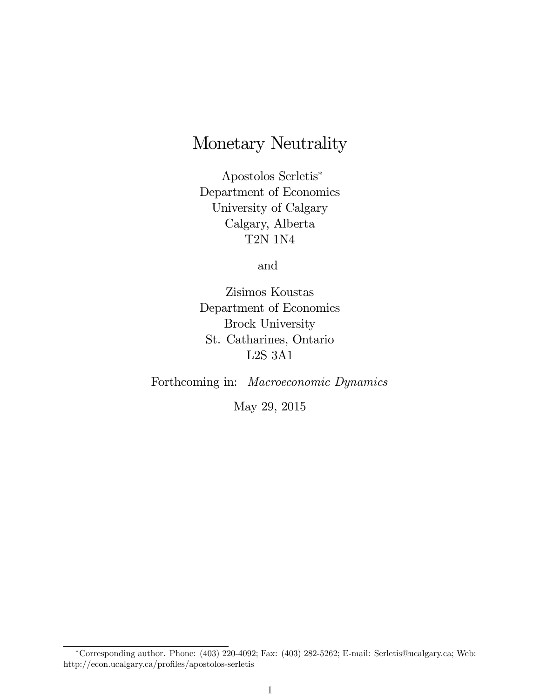# Monetary Neutrality

Apostolos Serletis Department of Economics University of Calgary Calgary, Alberta T2N 1N4

and

Zisimos Koustas Department of Economics Brock University St. Catharines, Ontario L2S 3A1

Forthcoming in: Macroeconomic Dynamics

May 29, 2015

Corresponding author. Phone: (403) 220-4092; Fax: (403) 282-5262; E-mail: Serletis@ucalgary.ca; Web: http://econ.ucalgary.ca/profiles/apostolos-serletis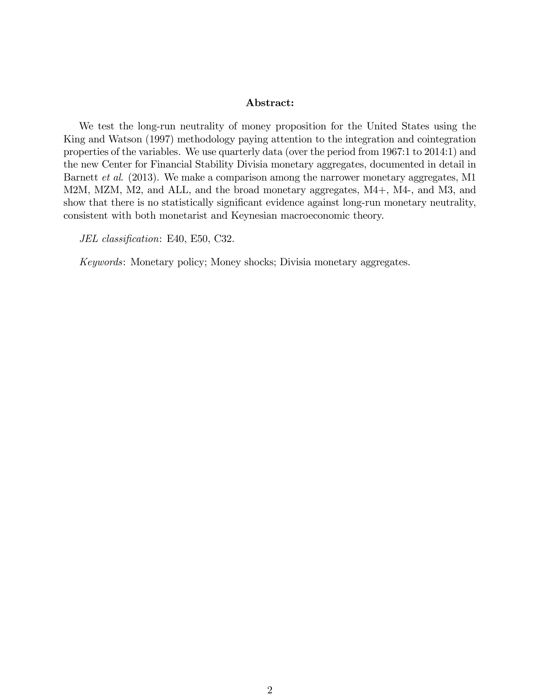#### Abstract:

We test the long-run neutrality of money proposition for the United States using the King and Watson (1997) methodology paying attention to the integration and cointegration properties of the variables. We use quarterly data (over the period from 1967:1 to 2014:1) and the new Center for Financial Stability Divisia monetary aggregates, documented in detail in Barnett et al. (2013). We make a comparison among the narrower monetary aggregates, M1 M2M, MZM, M2, and ALL, and the broad monetary aggregates, M4+, M4-, and M3, and show that there is no statistically significant evidence against long-run monetary neutrality, consistent with both monetarist and Keynesian macroeconomic theory.

JEL classification: E40, E50, C32.

Keywords: Monetary policy; Money shocks; Divisia monetary aggregates.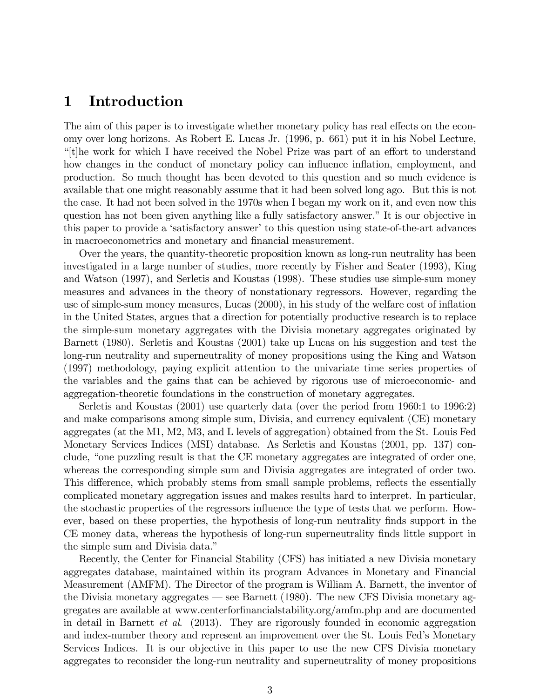### 1 Introduction

The aim of this paper is to investigate whether monetary policy has real effects on the economy over long horizons. As Robert E. Lucas Jr. (1996, p. 661) put it in his Nobel Lecture, <sup>"</sup>[t]he work for which I have received the Nobel Prize was part of an effort to understand how changes in the conduct of monetary policy can influence inflation, employment, and production. So much thought has been devoted to this question and so much evidence is available that one might reasonably assume that it had been solved long ago. But this is not the case. It had not been solved in the 1970s when I began my work on it, and even now this question has not been given anything like a fully satisfactory answer." It is our objective in this paper to provide a 'satisfactory answer' to this question using state-of-the-art advances in macroeconometrics and monetary and financial measurement.

Over the years, the quantity-theoretic proposition known as long-run neutrality has been investigated in a large number of studies, more recently by Fisher and Seater (1993), King and Watson (1997), and Serletis and Koustas (1998). These studies use simple-sum money measures and advances in the theory of nonstationary regressors. However, regarding the use of simple-sum money measures, Lucas (2000), in his study of the welfare cost of ináation in the United States, argues that a direction for potentially productive research is to replace the simple-sum monetary aggregates with the Divisia monetary aggregates originated by Barnett (1980). Serletis and Koustas (2001) take up Lucas on his suggestion and test the long-run neutrality and superneutrality of money propositions using the King and Watson (1997) methodology, paying explicit attention to the univariate time series properties of the variables and the gains that can be achieved by rigorous use of microeconomic- and aggregation-theoretic foundations in the construction of monetary aggregates.

Serletis and Koustas (2001) use quarterly data (over the period from 1960:1 to 1996:2) and make comparisons among simple sum, Divisia, and currency equivalent (CE) monetary aggregates (at the M1, M2, M3, and L levels of aggregation) obtained from the St. Louis Fed Monetary Services Indices (MSI) database. As Serletis and Koustas (2001, pp. 137) conclude, "one puzzling result is that the CE monetary aggregates are integrated of order one, whereas the corresponding simple sum and Divisia aggregates are integrated of order two. This difference, which probably stems from small sample problems, reflects the essentially complicated monetary aggregation issues and makes results hard to interpret. In particular, the stochastic properties of the regressors influence the type of tests that we perform. However, based on these properties, the hypothesis of long-run neutrality finds support in the CE money data, whereas the hypothesis of long-run superneutrality Önds little support in the simple sum and Divisia data."

Recently, the Center for Financial Stability (CFS) has initiated a new Divisia monetary aggregates database, maintained within its program Advances in Monetary and Financial Measurement (AMFM). The Director of the program is William A. Barnett, the inventor of the Divisia monetary aggregates  $\sim$  see Barnett (1980). The new CFS Divisia monetary aggregates are available at www.centerforfinancialstability.org/amfm.php and are documented in detail in Barnett et al. (2013). They are rigorously founded in economic aggregation and index-number theory and represent an improvement over the St. Louis Fedís Monetary Services Indices. It is our objective in this paper to use the new CFS Divisia monetary aggregates to reconsider the long-run neutrality and superneutrality of money propositions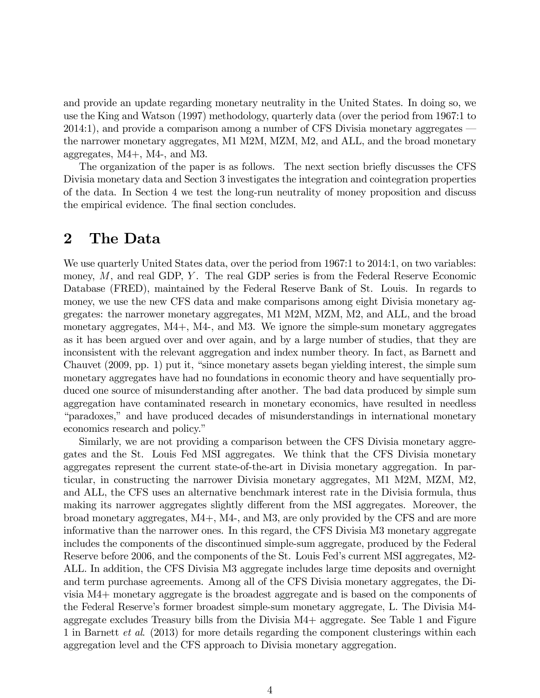and provide an update regarding monetary neutrality in the United States. In doing so, we use the King and Watson (1997) methodology, quarterly data (over the period from 1967:1 to  $2014:1$ , and provide a comparison among a number of CFS Divisia monetary aggregates  $$ the narrower monetary aggregates, M1 M2M, MZM, M2, and ALL, and the broad monetary aggregates, M4+, M4-, and M3.

The organization of the paper is as follows. The next section brieáy discusses the CFS Divisia monetary data and Section 3 investigates the integration and cointegration properties of the data. In Section 4 we test the long-run neutrality of money proposition and discuss the empirical evidence. The final section concludes.

#### 2 The Data

We use quarterly United States data, over the period from 1967:1 to 2014:1, on two variables: money,  $M$ , and real GDP,  $Y$ . The real GDP series is from the Federal Reserve Economic Database (FRED), maintained by the Federal Reserve Bank of St. Louis. In regards to money, we use the new CFS data and make comparisons among eight Divisia monetary aggregates: the narrower monetary aggregates, M1 M2M, MZM, M2, and ALL, and the broad monetary aggregates, M4+, M4-, and M3. We ignore the simple-sum monetary aggregates as it has been argued over and over again, and by a large number of studies, that they are inconsistent with the relevant aggregation and index number theory. In fact, as Barnett and Chauvet (2009, pp. 1) put it, "since monetary assets began yielding interest, the simple sum monetary aggregates have had no foundations in economic theory and have sequentially produced one source of misunderstanding after another. The bad data produced by simple sum aggregation have contaminated research in monetary economics, have resulted in needless "paradoxes," and have produced decades of misunderstandings in international monetary economics research and policy."

Similarly, we are not providing a comparison between the CFS Divisia monetary aggregates and the St. Louis Fed MSI aggregates. We think that the CFS Divisia monetary aggregates represent the current state-of-the-art in Divisia monetary aggregation. In particular, in constructing the narrower Divisia monetary aggregates, M1 M2M, MZM, M2, and ALL, the CFS uses an alternative benchmark interest rate in the Divisia formula, thus making its narrower aggregates slightly different from the MSI aggregates. Moreover, the broad monetary aggregates, M4+, M4-, and M3, are only provided by the CFS and are more informative than the narrower ones. In this regard, the CFS Divisia M3 monetary aggregate includes the components of the discontinued simple-sum aggregate, produced by the Federal Reserve before 2006, and the components of the St. Louis Fed's current MSI aggregates, M2-ALL. In addition, the CFS Divisia M3 aggregate includes large time deposits and overnight and term purchase agreements. Among all of the CFS Divisia monetary aggregates, the Divisia M4+ monetary aggregate is the broadest aggregate and is based on the components of the Federal Reserveís former broadest simple-sum monetary aggregate, L. The Divisia M4 aggregate excludes Treasury bills from the Divisia M4+ aggregate. See Table 1 and Figure 1 in Barnett et al. (2013) for more details regarding the component clusterings within each aggregation level and the CFS approach to Divisia monetary aggregation.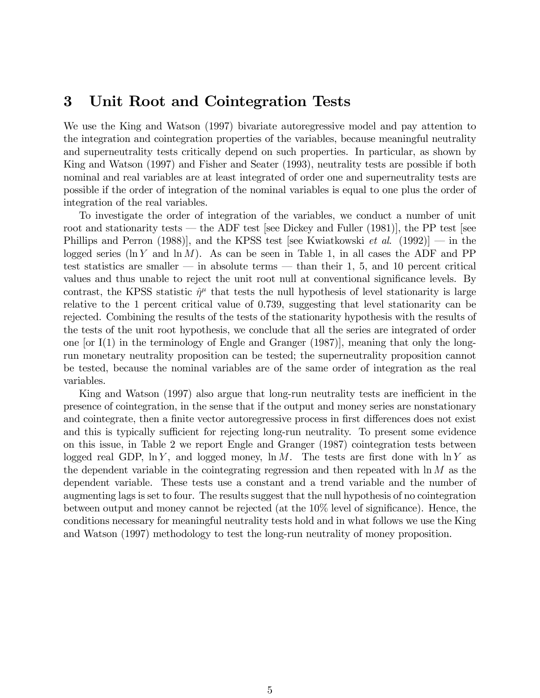### 3 Unit Root and Cointegration Tests

We use the King and Watson (1997) bivariate autoregressive model and pay attention to the integration and cointegration properties of the variables, because meaningful neutrality and superneutrality tests critically depend on such properties. In particular, as shown by King and Watson (1997) and Fisher and Seater (1993), neutrality tests are possible if both nominal and real variables are at least integrated of order one and superneutrality tests are possible if the order of integration of the nominal variables is equal to one plus the order of integration of the real variables.

To investigate the order of integration of the variables, we conduct a number of unit root and stationarity tests  $-$  the ADF test [see Dickey and Fuller (1981)], the PP test [see Phillips and Perron (1988)], and the KPSS test [see Kwiatkowski *et al.* (1992)]  $\sim$  in the logged series (ln Y and  $\ln M$ ). As can be seen in Table 1, in all cases the ADF and PP test statistics are smaller  $\overline{\phantom{a}}$  in absolute terms  $\overline{\phantom{a}}$  than their 1, 5, and 10 percent critical values and thus unable to reject the unit root null at conventional significance levels. By contrast, the KPSS statistic  $\hat{\eta}^{\mu}$  that tests the null hypothesis of level stationarity is large relative to the 1 percent critical value of 0.739, suggesting that level stationarity can be rejected. Combining the results of the tests of the stationarity hypothesis with the results of the tests of the unit root hypothesis, we conclude that all the series are integrated of order one [or  $I(1)$  in the terminology of Engle and Granger  $(1987)$ ], meaning that only the longrun monetary neutrality proposition can be tested; the superneutrality proposition cannot be tested, because the nominal variables are of the same order of integration as the real variables.

King and Watson (1997) also argue that long-run neutrality tests are inefficient in the presence of cointegration, in the sense that if the output and money series are nonstationary and cointegrate, then a finite vector autoregressive process in first differences does not exist and this is typically sufficient for rejecting long-run neutrality. To present some evidence on this issue, in Table 2 we report Engle and Granger (1987) cointegration tests between logged real GDP,  $\ln Y$ , and logged money,  $\ln M$ . The tests are first done with  $\ln Y$  as the dependent variable in the cointegrating regression and then repeated with  $\ln M$  as the dependent variable. These tests use a constant and a trend variable and the number of augmenting lags is set to four. The results suggest that the null hypothesis of no cointegration between output and money cannot be rejected (at the  $10\%$  level of significance). Hence, the conditions necessary for meaningful neutrality tests hold and in what follows we use the King and Watson (1997) methodology to test the long-run neutrality of money proposition.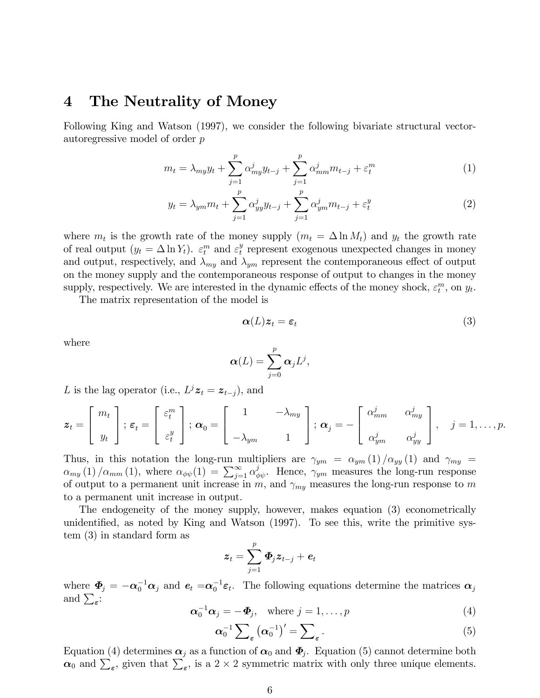#### 4 The Neutrality of Money

Following King and Watson (1997), we consider the following bivariate structural vectorautoregressive model of order p

$$
m_{t} = \lambda_{my} y_{t} + \sum_{j=1}^{p} \alpha_{my}^{j} y_{t-j} + \sum_{j=1}^{p} \alpha_{mm}^{j} m_{t-j} + \varepsilon_{t}^{m}
$$
 (1)

$$
y_t = \lambda_{ym} m_t + \sum_{j=1}^p \alpha_{yy}^j y_{t-j} + \sum_{j=1}^p \alpha_{ym}^j m_{t-j} + \varepsilon_t^y
$$
 (2)

where  $m_t$  is the growth rate of the money supply  $(m_t = \Delta \ln M_t)$  and  $y_t$  the growth rate of real output  $(y_t = \Delta \ln Y_t)$ .  $\varepsilon_t^m$  and  $\varepsilon_t^y$  $t<sub>t</sub><sup>y</sup>$  represent exogenous unexpected changes in money and output, respectively, and  $\lambda_{m}$  and  $\lambda_{ym}$  represent the contemporaneous effect of output on the money supply and the contemporaneous response of output to changes in the money supply, respectively. We are interested in the dynamic effects of the money shock,  $\varepsilon_t^m$ , on  $y_t$ .

The matrix representation of the model is

$$
\boldsymbol{\alpha}(L)\boldsymbol{z}_t = \boldsymbol{\varepsilon}_t \tag{3}
$$

where

$$
\boldsymbol{\alpha}(L)=\sum_{j=0}^p\boldsymbol{\alpha}_jL^j,
$$

L is the lag operator (i.e.,  $L^j \mathbf{z}_t = \mathbf{z}_{t-j}$ ), and

$$
\boldsymbol{z}_t = \begin{bmatrix} m_t \\ y_t \end{bmatrix}; \ \boldsymbol{\varepsilon}_t = \begin{bmatrix} \varepsilon_t^m \\ \varepsilon_t^y \end{bmatrix}; \ \boldsymbol{\alpha}_0 = \begin{bmatrix} 1 & -\lambda_{my} \\ -\lambda_{ym} & 1 \end{bmatrix}; \ \boldsymbol{\alpha}_j = -\begin{bmatrix} \alpha_{mm}^j & \alpha_{my}^j \\ \alpha_{ym}^j & \alpha_{yy}^j \end{bmatrix}, \quad j = 1, \ldots, p.
$$

Thus, in this notation the long-run multipliers are  $\gamma_{ym} = \alpha_{ym}(1) / \alpha_{yy}(1)$  and  $\gamma_{my} =$  $\alpha_{my}$  (1)  $/\alpha_{mm}$  (1), where  $\alpha_{\phi\psi}(1) = \sum_{j=1}^{\infty} \alpha_{\phi\psi}^j$ . Hence,  $\gamma_{ym}$  measures the long-run response of output to a permanent unit increase in m, and  $\gamma_{my}$  measures the long-run response to m to a permanent unit increase in output.

The endogeneity of the money supply, however, makes equation (3) econometrically unidentified, as noted by King and Watson (1997). To see this, write the primitive system (3) in standard form as

$$
\bm{z}_t = \sum_{j=1}^p \bm{\varPhi}_j \bm{z}_{t-j} + \bm{e}_t
$$

where  $\Phi_j = -\alpha_0^{-1}\alpha_j$  and  $e_t = \alpha_0^{-1}\varepsilon_t$ . The following equations determine the matrices  $\alpha_j$ and  $\sum_{\epsilon}$ :

$$
\boldsymbol{\alpha}_0^{-1}\boldsymbol{\alpha}_j = -\boldsymbol{\Phi}_j, \quad \text{where } j = 1, \dots, p \tag{4}
$$

$$
\alpha_0^{-1} \sum_{\varepsilon} (\alpha_0^{-1})' = \sum_{\varepsilon} . \tag{5}
$$

Equation (4) determines  $\alpha_j$  as a function of  $\alpha_0$  and  $\Phi_j$ . Equation (5) cannot determine both  $\alpha_0$  and  $\sum_{\epsilon}$ , given that  $\sum_{\epsilon}$ , is a 2 × 2 symmetric matrix with only three unique elements.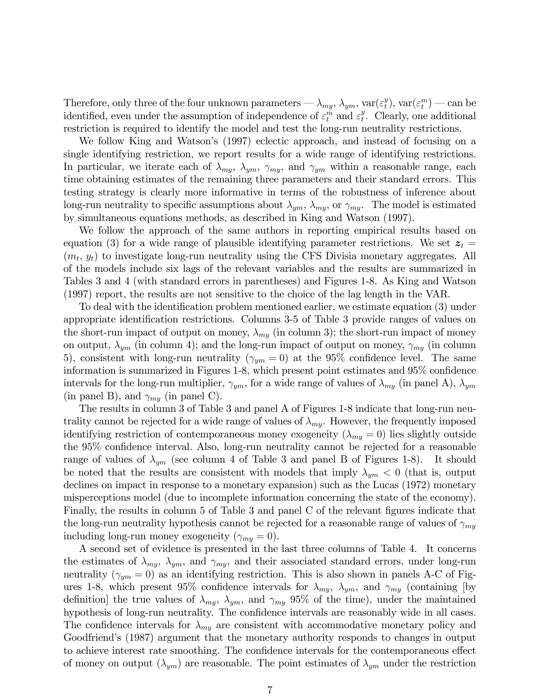Therefore, only three of the four unknown parameters —  $\lambda_{my}$ ,  $\lambda_{ym}$ ,  $\text{var}(\varepsilon_t^y)$  $(t_t^y)$ , var $(\varepsilon_t^m)$  — can be identified, even under the assumption of independence of  $\varepsilon_t^m$  and  $\varepsilon_t^y$  $_t^y$ . Clearly, one additional restriction is required to identify the model and test the long-run neutrality restrictions.

We follow King and Watson's (1997) eclectic approach, and instead of focusing on a single identifying restriction, we report results for a wide range of identifying restrictions. In particular, we iterate each of  $\lambda_{my}$ ,  $\lambda_{ym}$ ,  $\gamma_{my}$ , and  $\gamma_{ym}$  within a reasonable range, each time obtaining estimates of the remaining three parameters and their standard errors. This testing strategy is clearly more informative in terms of the robustness of inference about long-run neutrality to specific assumptions about  $\lambda_{ym}$ ,  $\lambda_{my}$ , or  $\gamma_{my}$ . The model is estimated by simultaneous equations methods, as described in King and Watson (1997).

We follow the approach of the same authors in reporting empirical results based on equation (3) for a wide range of plausible identifying parameter restrictions. We set  $z_t =$  $(m_t, y_t)$  to investigate long-run neutrality using the CFS Divisia monetary aggregates. All of the models include six lags of the relevant variables and the results are summarized in Tables 3 and 4 (with standard errors in parentheses) and Figures 1-8. As King and Watson (1997) report, the results are not sensitive to the choice of the lag length in the VAR.

To deal with the identification problem mentioned earlier, we estimate equation (3) under appropriate identification restrictions. Columns 3-5 of Table 3 provide ranges of values on the short-run impact of output on money,  $\lambda_{my}$  (in column 3); the short-run impact of money on output,  $\lambda_{vm}$  (in column 4); and the long-run impact of output on money,  $\gamma_{mv}$  (in column 5), consistent with long-run neutrality ( $\gamma_{ym} = 0$ ) at the 95% confidence level. The same information is summarized in Figures 1-8, which present point estimates and  $95\%$  confidence intervals for the long-run multiplier,  $\gamma_{ym}$ , for a wide range of values of  $\lambda_{my}$  (in panel A),  $\lambda_{ym}$ (in panel B), and  $\gamma_{m\mu}$  (in panel C).

The results in column 3 of Table 3 and panel A of Figures 1-8 indicate that long-run neutrality cannot be rejected for a wide range of values of  $\lambda_{my}$ . However, the frequently imposed identifying restriction of contemporaneous money exogeneity ( $\lambda_{mu} = 0$ ) lies slightly outside the  $95\%$  confidence interval. Also, long-run neutrality cannot be rejected for a reasonable range of values of  $\lambda_{ym}$  (see column 4 of Table 3 and panel B of Figures 1-8). It should be noted that the results are consistent with models that imply  $\lambda_{ym}$  < 0 (that is, output declines on impact in response to a monetary expansion) such as the Lucas (1972) monetary misperceptions model (due to incomplete information concerning the state of the economy). Finally, the results in column 5 of Table 3 and panel C of the relevant figures indicate that the long-run neutrality hypothesis cannot be rejected for a reasonable range of values of  $\gamma_{my}$ including long-run money exogeneity  $(\gamma_{my} = 0)$ .

A second set of evidence is presented in the last three columns of Table 4. It concerns the estimates of  $\lambda_{my}$ ,  $\lambda_{ym}$ , and  $\gamma_{my}$ , and their associated standard errors, under long-run neutrality ( $\gamma_{ym} = 0$ ) as an identifying restriction. This is also shown in panels A-C of Figures 1-8, which present 95% confidence intervals for  $\lambda_{my}$ ,  $\lambda_{ym}$ , and  $\gamma_{my}$  (containing [by definition] the true values of  $\lambda_{my}$ ,  $\lambda_{ym}$ , and  $\gamma_{my}$  95% of the time), under the maintained hypothesis of long-run neutrality. The confidence intervals are reasonably wide in all cases. The confidence intervals for  $\lambda_{my}$  are consistent with accommodative monetary policy and Goodfriend's (1987) argument that the monetary authority responds to changes in output to achieve interest rate smoothing. The confidence intervals for the contemporaneous effect of money on output  $(\lambda_{ym})$  are reasonable. The point estimates of  $\lambda_{ym}$  under the restriction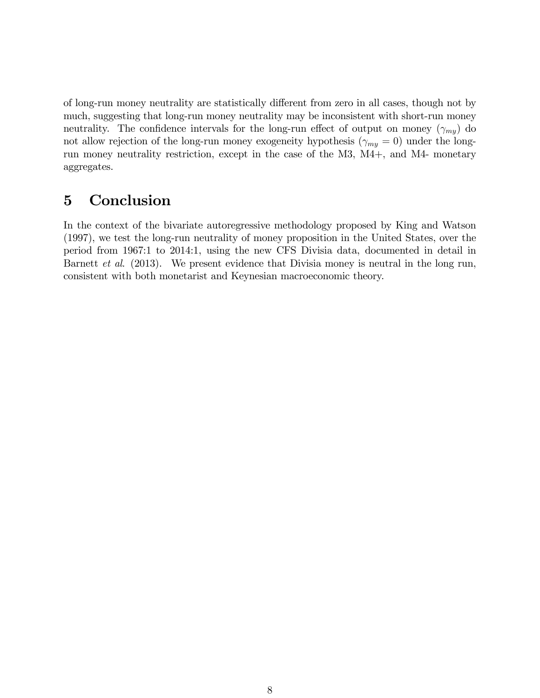of long-run money neutrality are statistically different from zero in all cases, though not by much, suggesting that long-run money neutrality may be inconsistent with short-run money neutrality. The confidence intervals for the long-run effect of output on money  $(\gamma_{my})$  do not allow rejection of the long-run money exogeneity hypothesis ( $\gamma_{my} = 0$ ) under the longrun money neutrality restriction, except in the case of the M3, M4+, and M4- monetary aggregates.

## 5 Conclusion

In the context of the bivariate autoregressive methodology proposed by King and Watson (1997), we test the long-run neutrality of money proposition in the United States, over the period from 1967:1 to 2014:1, using the new CFS Divisia data, documented in detail in Barnett *et al.* (2013). We present evidence that Divisia money is neutral in the long run, consistent with both monetarist and Keynesian macroeconomic theory.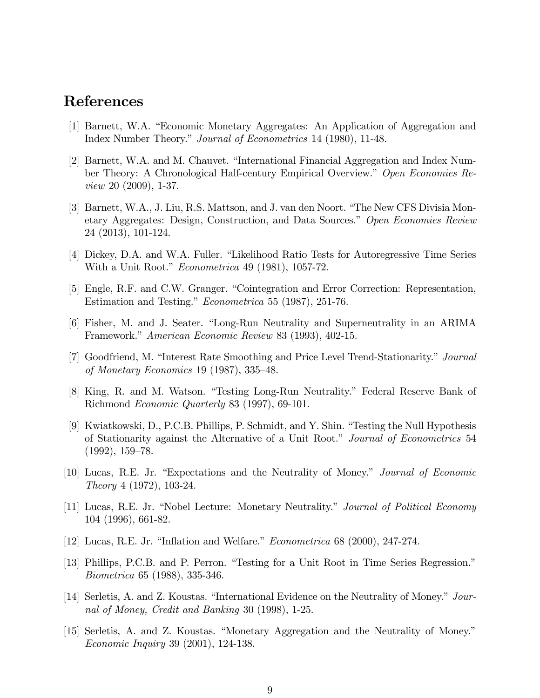### References

- [1] Barnett, W.A. "Economic Monetary Aggregates: An Application of Aggregation and Index Number Theory." Journal of Econometrics 14 (1980), 11-48.
- [2] Barnett, W.A. and M. Chauvet. "International Financial Aggregation and Index Number Theory: A Chronological Half-century Empirical Overview." Open Economies Review 20 (2009), 1-37.
- [3] Barnett, W.A., J. Liu, R.S. Mattson, and J. van den Noort. "The New CFS Divisia Monetary Aggregates: Design, Construction, and Data Sources." Open Economies Review 24 (2013), 101-124.
- [4] Dickey, D.A. and W.A. Fuller. "Likelihood Ratio Tests for Autoregressive Time Series With a Unit Root."  $Econometrica$  49 (1981), 1057-72.
- [5] Engle, R.F. and C.W. Granger. "Cointegration and Error Correction: Representation, Estimation and Testing." *Econometrica* 55 (1987), 251-76.
- [6] Fisher, M. and J. Seater. "Long-Run Neutrality and Superneutrality in an ARIMA Framework." American Economic Review 83 (1993), 402-15.
- [7] Goodfriend, M. "Interest Rate Smoothing and Price Level Trend-Stationarity." Journal of Monetary Economics 19 (1987),  $335-48$ .
- [8] King, R. and M. Watson. "Testing Long-Run Neutrality." Federal Reserve Bank of Richmond Economic Quarterly 83 (1997), 69-101.
- [9] Kwiatkowski, D., P.C.B. Phillips, P. Schmidt, and Y. Shin. "Testing the Null Hypothesis of Stationarity against the Alternative of a Unit Root." Journal of Econometrics 54  $(1992), 159-78.$
- [10] Lucas, R.E. Jr. "Expectations and the Neutrality of Money." Journal of Economic Theory 4 (1972), 103-24.
- [11] Lucas, R.E. Jr. "Nobel Lecture: Monetary Neutrality." *Journal of Political Economy* 104 (1996), 661-82.
- [12] Lucas, R.E. Jr. "Inflation and Welfare." *Econometrica* 68 (2000), 247-274.
- [13] Phillips, P.C.B. and P. Perron. "Testing for a Unit Root in Time Series Regression." Biometrica 65 (1988), 335-346.
- [14] Serletis, A. and Z. Koustas. "International Evidence on the Neutrality of Money." Journal of Money, Credit and Banking 30 (1998), 1-25.
- [15] Serletis, A. and Z. Koustas. "Monetary Aggregation and the Neutrality of Money." Economic Inquiry 39 (2001), 124-138.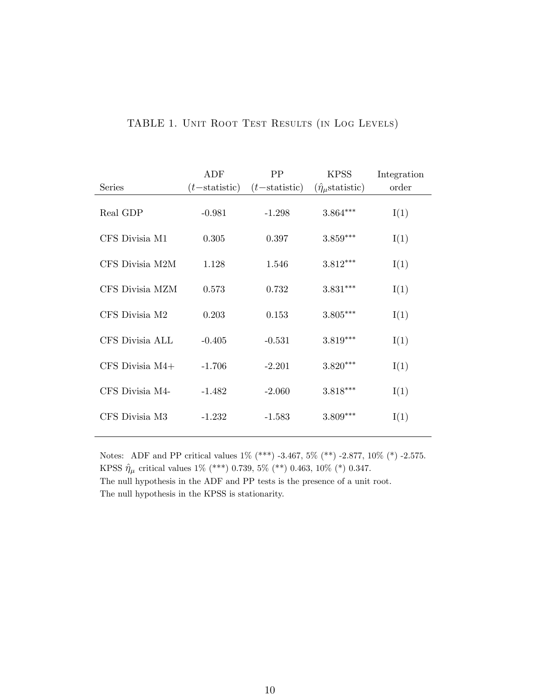|                     | ADF              | PP               | <b>KPSS</b>                    | Integration |
|---------------------|------------------|------------------|--------------------------------|-------------|
| Series              | $(t$ -statistic) | $(t$ -statistic) | $(\hat{\eta}_{\mu}$ statistic) | order       |
| Real GDP            | $-0.981$         | $-1.298$         | $3.864***$                     | I(1)        |
| CFS Divisia M1      | 0.305            | 0.397            | $3.859***$                     | I(1)        |
| CFS Divisia M2M     | 1.128            | 1.546            | $3.812***$                     | I(1)        |
| CFS Divisia MZM     | 0.573            | 0.732            | $3.831***$                     | I(1)        |
| CFS Divisia M2      | 0.203            | 0.153            | $3.805***$                     | I(1)        |
| CFS Divisia ALL     | $-0.405$         | $-0.531$         | $3.819***$                     | I(1)        |
| $CFS$ Divisia $M4+$ | $-1.706$         | $-2.201$         | $3.820***$                     | I(1)        |
| CFS Divisia M4-     | $-1.482$         | $-2.060$         | $3.818***$                     | I(1)        |
| CFS Divisia M3      | $-1.232$         | $-1.583$         | $3.809***$                     | I(1)        |

#### TABLE 1. Unit Root Test Results (in Log Levels)

Notes: ADF and PP critical values 1% (\*\*\*) -3.467, 5% (\*\*) -2.877, 10% (\*) -2.575. KPSS  $\hat{\eta}_\mu$  critical values 1% (\*\*\*) 0.739, 5% (\*\*) 0.463, 10% (\*) 0.347. The null hypothesis in the ADF and PP tests is the presence of a unit root.

The null hypothesis in the KPSS is stationarity.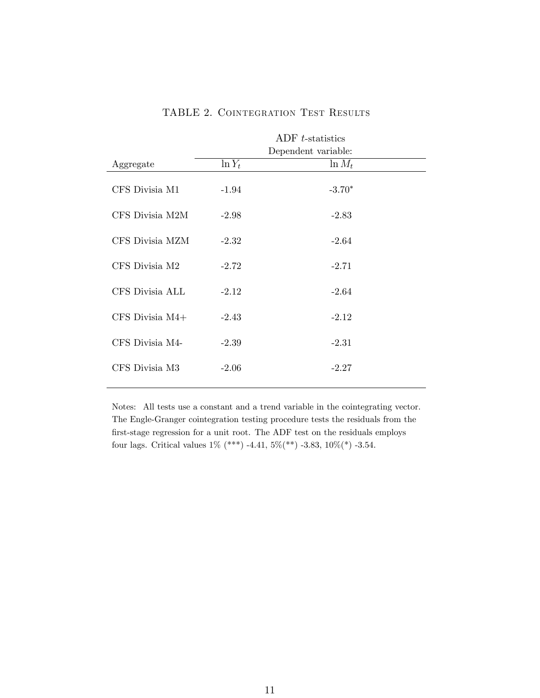|                     | ADF t-statistics<br>Dependent variable: |           |  |
|---------------------|-----------------------------------------|-----------|--|
| Aggregate           | $\ln Y_t$                               | $\ln M_t$ |  |
| CFS Divisia M1      | $-1.94$                                 | $-3.70*$  |  |
| CFS Divisia M2M     | $-2.98$                                 | $-2.83$   |  |
| CFS Divisia MZM     | $-2.32$                                 | $-2.64$   |  |
| CFS Divisia M2      | $-2.72$                                 | $-2.71$   |  |
| CFS Divisia ALL     | $-2.12$                                 | $-2.64$   |  |
| $CFS$ Divisia $M4+$ | $-2.43$                                 | $-2.12$   |  |
| CFS Divisia M4-     | $-2.39$                                 | $-2.31$   |  |
| CFS Divisia M3      | $-2.06$                                 | $-2.27$   |  |
|                     |                                         |           |  |

#### TABLE 2. COINTEGRATION TEST RESULTS

Notes: All tests use a constant and a trend variable in the cointegrating vector. The Engle-Granger cointegration testing procedure tests the residuals from the first-stage regression for a unit root. The ADF test on the residuals employs four lags. Critical values 1% (\*\*\*) -4.41,  $5\%$  (\*\*) -3.83,  $10\%$  (\*) -3.54.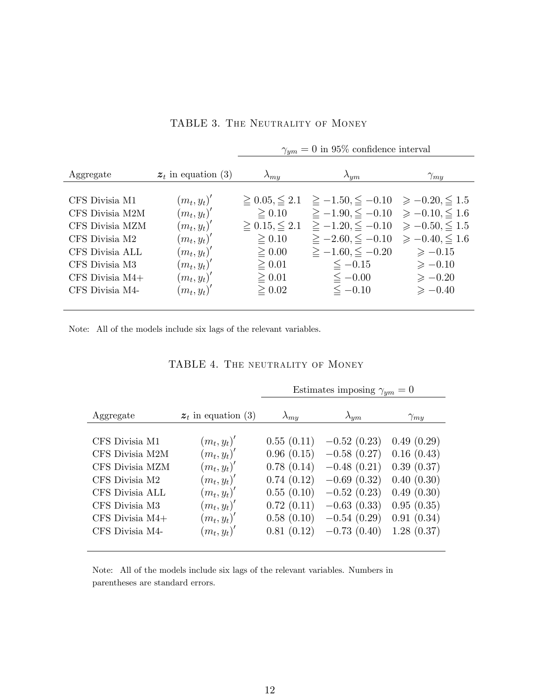| Aggregate                                                                                                                                             | $z_t$ in equation (3)                                                                                                                | $\lambda_{my}$                                                                                                                           | $\lambda_{ym}$                                                                                                                                                                                                                   | $\gamma_{m}$                                                                                                                   |
|-------------------------------------------------------------------------------------------------------------------------------------------------------|--------------------------------------------------------------------------------------------------------------------------------------|------------------------------------------------------------------------------------------------------------------------------------------|----------------------------------------------------------------------------------------------------------------------------------------------------------------------------------------------------------------------------------|--------------------------------------------------------------------------------------------------------------------------------|
| CFS Divisia M1<br>CFS Divisia M2M<br>CFS Divisia MZM<br>CFS Divisia M2<br>CFS Divisia ALL<br>CFS Divisia M3<br>$CFS$ Divisia $M4+$<br>CFS Divisia M4- | $(m_t, y_t)'$<br>$(m_t, y_t)'$<br>$(m_t, y_t)'$<br>$(m_t, y_t)'$<br>$(m_t, y_t)'$<br>$(m_t, y_t)'$<br>$(m_t, y_t)'$<br>$(m_t, y_t)'$ | $\geq 0.05, \leq 2.1$<br>$\geq 0.10$<br>$\geq 0.15, \leq 2.1$<br>$\geq 0.10$<br>$\geq 0.00$<br>$\geq 0.01$<br>$\geq 0.01$<br>$\geq 0.02$ | $\geq -1.50, \leq -0.10 \geq -0.20, \leq 1.5$<br>$\geq -1.90, \leq -0.10 \geq -0.10, \leq 1.6$<br>$\geq -1.20, \leq -0.10$<br>$\ge -2.60, \le -0.10$<br>$\geq -1.60, \leq -0.20$<br>$\leq -0.15$<br>$\leq -0.00$<br>$\leq -0.10$ | $\ge -0.50 \le 1.5$<br>$\ge -0.40 \le 1.6$<br>$\geqslant -0.15$<br>$\geqslant -0.10$<br>$\geqslant -0.20$<br>$\geqslant -0.40$ |
|                                                                                                                                                       |                                                                                                                                      |                                                                                                                                          |                                                                                                                                                                                                                                  |                                                                                                                                |

TABLE 3. THE NEUTRALITY OF MONEY

 $\gamma_{ym} = 0$  in 95% confidence interval

Note: All of the models include six lags of the relevant variables.

| TABLE 4. THE NEUTRALITY OF MONEY |  |
|----------------------------------|--|
|----------------------------------|--|

|                   |                       | Estimates imposing $\gamma_{um}=0$ |                |               |
|-------------------|-----------------------|------------------------------------|----------------|---------------|
| Aggregate         | $z_t$ in equation (3) | $\lambda_{mu}$                     | $\lambda_{ym}$ | $\gamma_{my}$ |
|                   |                       |                                    |                |               |
| CFS Divisia M1    | $(m_t, y_t)'$         | 0.55(0.11)                         | $-0.52(0.23)$  | 0.49(0.29)    |
| CFS Divisia M2M   | $(m_t, y_t)'$         | 0.96(0.15)                         | $-0.58(0.27)$  | 0.16(0.43)    |
| CFS Divisia MZM   | $(m_t, y_t)'$         | 0.78(0.14)                         | $-0.48(0.21)$  | 0.39(0.37)    |
| CFS Divisia M2    | $(m_t, y_t)'$         | 0.74(0.12)                         | $-0.69(0.32)$  | 0.40(0.30)    |
| CFS Divisia ALL   | $(m_t, y_t)'$         | 0.55(0.10)                         | $-0.52(0.23)$  | 0.49(0.30)    |
| CFS Divisia M3    | $(m_t, y_t)'$         | 0.72(0.11)                         | $-0.63(0.33)$  | 0.95(0.35)    |
| CFS Divisia $M4+$ | $(m_t, y_t)'$         | 0.58(0.10)                         | $-0.54(0.29)$  | 0.91(0.34)    |
| CFS Divisia M4-   | $(m_t, y_t)'$         | 0.81(0.12)                         | $-0.73(0.40)$  | 1.28(0.37)    |
|                   |                       |                                    |                |               |

Note: All of the models include six lags of the relevant variables. Numbers in parentheses are standard errors.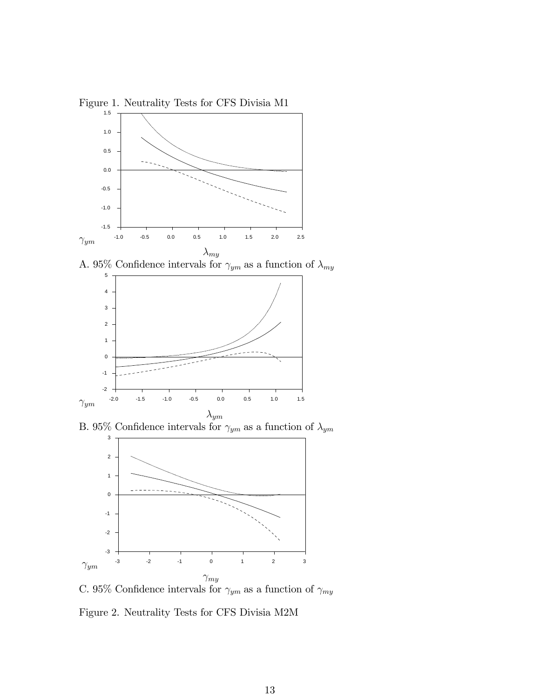Figure 1. Neutrality Tests for CFS Divisia M1



A. 95% Confidence intervals for  $\gamma_{ym}$  as a function of  $\lambda_{my}$ 



B. 95% Confidence intervals for  $\gamma_{ym}$  as a function of  $\lambda_{ym}$ 



C. 95% Confidence intervals for  $\gamma_{ym}$  as a function of  $\gamma_{my}$ 

Figure 2. Neutrality Tests for CFS Divisia M2M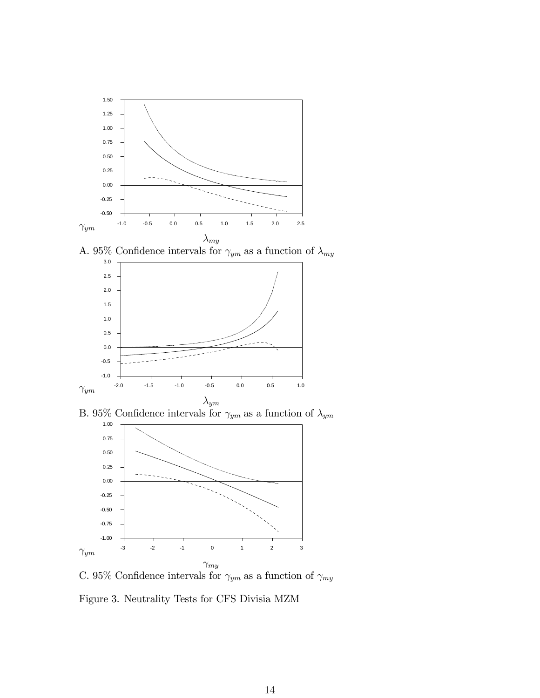

A. 95% Confidence intervals for  $\gamma_{ym}$  as a function of  $\lambda_{my}$ 



B. 95% Confidence intervals for  $\gamma_{ym}$  as a function of  $\lambda_{ym}$ 



C. 95% Confidence intervals for  $\gamma_{ym}$  as a function of  $\gamma_{my}$ 

Figure 3. Neutrality Tests for CFS Divisia MZM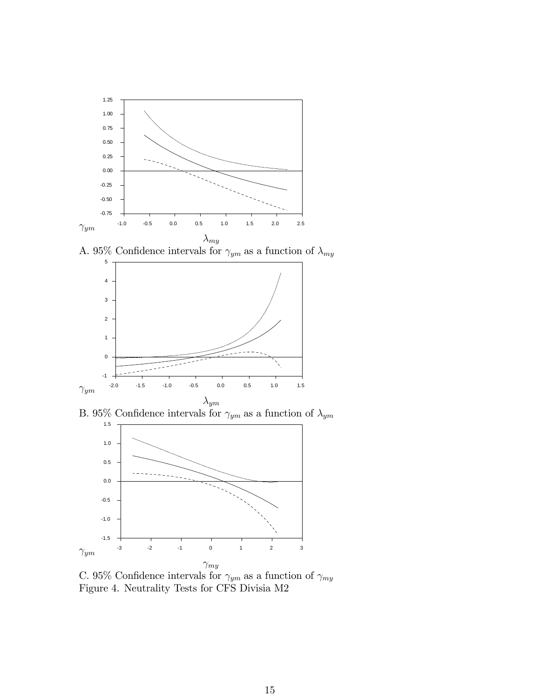

A. 95% Confidence intervals for  $\gamma_{ym}$  as a function of  $\lambda_{my}$ 



B. 95% Confidence intervals for  $\gamma_{ym}$  as a function of  $\lambda_{ym}$ 



C. 95% Confidence intervals for  $\gamma_{ym}$  as a function of  $\gamma_{my}$ Figure 4. Neutrality Tests for CFS Divisia M2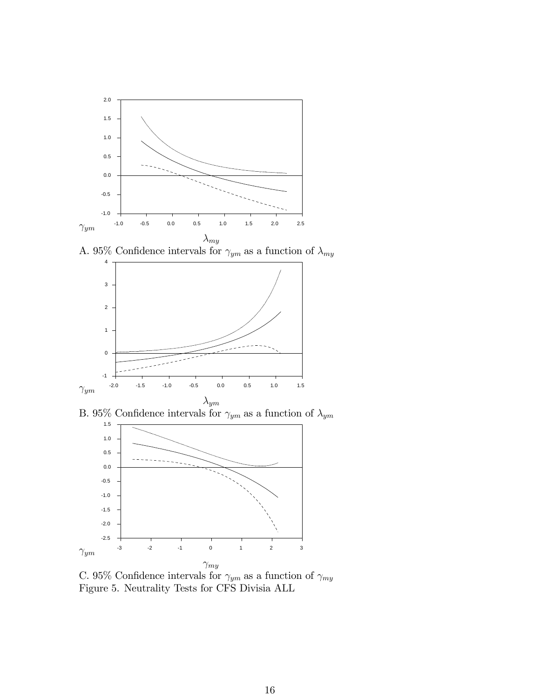

A. 95% Confidence intervals for  $\gamma_{ym}$  as a function of  $\lambda_{my}$ 



B. 95% Confidence intervals for  $\gamma_{ym}$  as a function of  $\lambda_{ym}$ 



C. 95% Confidence intervals for  $\gamma_{ym}$  as a function of  $\gamma_{my}$ Figure 5. Neutrality Tests for CFS Divisia ALL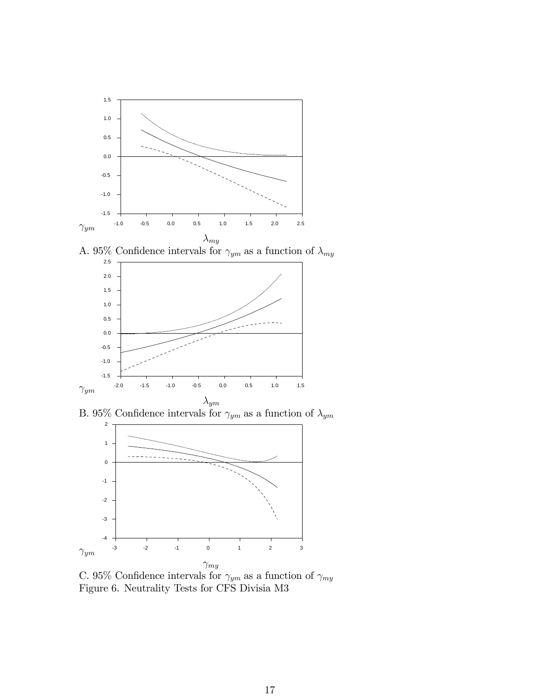

A. 95% Confidence intervals for  $\gamma_{ym}$  as a function of  $\lambda_{my}$ 



B. 95% Confidence intervals for  $\gamma_{ym}$  as a function of  $\lambda_{ym}$ 



C. 95% Confidence intervals for  $\gamma_{ym}$  as a function of  $\gamma_{my}$ Figure 6. Neutrality Tests for CFS Divisia M3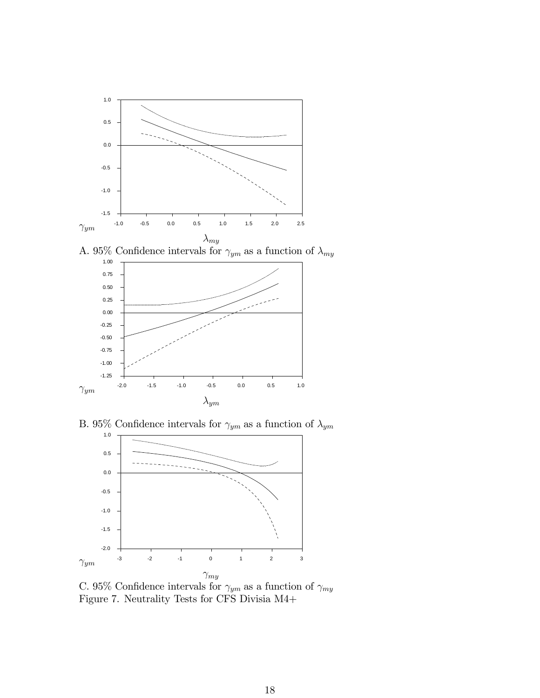

A. 95% Confidence intervals for  $\gamma_{ym}$  as a function of  $\lambda_{my}$ 



B. 95% Confidence intervals for  $\gamma_{ym}$  as a function of  $\lambda_{ym}$ 



C. 95% Confidence intervals for  $\gamma_{ym}$  as a function of  $\gamma_{my}$ Figure 7. Neutrality Tests for CFS Divisia M4+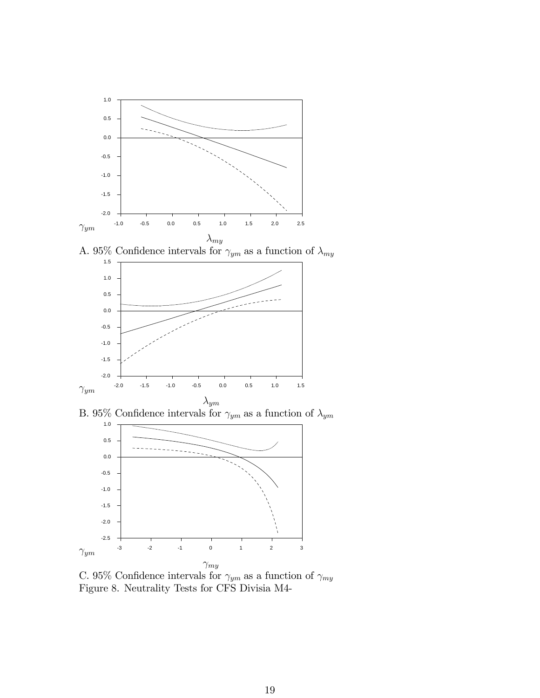

A. 95% Confidence intervals for  $\gamma_{ym}$  as a function of  $\lambda_{my}$ 



B. 95% Confidence intervals for  $\gamma_{ym}$  as a function of  $\lambda_{ym}$ 



C. 95% Confidence intervals for  $\gamma_{ym}$  as a function of  $\gamma_{my}$ Figure 8. Neutrality Tests for CFS Divisia M4-